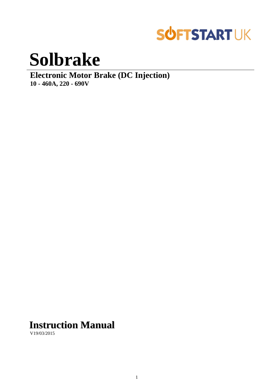

# **Solbrake**

**Electronic Motor Brake (DC Injection) 10 - 460A, 220 - 690V**

# **Instruction Manual**

V19/03/2015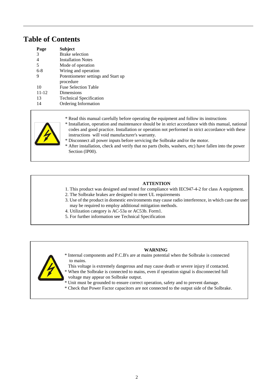# **Table of Contents**

| Page      | <b>Subject</b>                      |
|-----------|-------------------------------------|
| 3         | Brake selection                     |
| 4         | <b>Installation Notes</b>           |
| 5         | Mode of operation                   |
| $6-8$     | Wiring and operation                |
| 9         | Potentiometer settings and Start up |
|           | procedure                           |
| 10        | <b>Fuse Selection Table</b>         |
| $11 - 12$ | Dimensions                          |
| 13        | <b>Technical Specification</b>      |
| 14        | Ordering Information                |



- \* Read this manual carefully before operating the equipment and follow its instructions
- \* Installation, operation and maintenance should be in strict accordance with this manual, national codes and good practice. Installation or operation not performed in strict accordance with these instructions will void manufacturer's warranty.
- \* Disconnect all power inputs before servicing the Solbrake and/or the motor.
- \* After installation, check and verify that no parts (bolts, washers, etc) have fallen into the power Section (IP00).

# **ATTENTION**

- 1. This product was designed and tested for compliance with IEC947-4-2 for class A equipment.
- 2. The Solbrake brakes are designed to meet UL requirements
- 3. Use of the product in domestic environments may cause radio interference, in which case the user may be required to employ additional mitigation methods.
- 4. Utilization category is AC-53a or AC53b. Form1.
- 5. For further information see Technical Specification

# **WARNING**



- \* Internal components and P.C.B's are at mains potential when the Solbrake is connected to mains.
- This voltage is extremely dangerous and may cause death or severe injury if contacted.
- \* When the Solbrake is connected to mains, even if operation signal is disconnected full voltage may appear on Solbrake output.
- \* Unit must be grounded to ensure correct operation, safety and to prevent damage.
- \* Check that Power Factor capacitors are not connected to the output side of the Solbrake.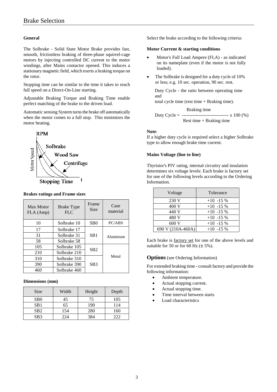## **General**

The Solbrake - Solid State Motor Brake provides fast, smooth, frictionless braking of three-phase squirrel-cage motors by injecting controlled DC current to the motor windings, after Mains contactor opened. This induces a stationary magnetic field, which exerts a braking torque on the rotor.

Stopping time can be similar to the time it takes to reach full speed on a Direct-On-Line starting.

Adjustable Braking Torque and Braking Time enable perfect matching of the brake to the driven load.

Automatic sensing System turns the brake off automatically when the motor comes to a full stop. This minimizes the motor heating.



## **Brakes ratings and Frame sizes**

| Max Motor<br>FLA (Amp) | Brake Type<br><b>FLC</b>        | Frame<br><b>Size</b> | Case<br>material |  |
|------------------------|---------------------------------|----------------------|------------------|--|
| 10                     | Solbrake 10                     | S <sub>B</sub> O     | PC/ABS           |  |
| 17                     | Solbrake 17                     |                      |                  |  |
| 31                     | Solbrake 31                     | Aluminum             |                  |  |
| 58                     | Solbrake 58                     |                      |                  |  |
| 105                    | Solbrake 105<br>SB <sub>2</sub> |                      |                  |  |
| 210                    | Solbrake 210                    |                      |                  |  |
| 310                    | Solbrake 310                    |                      | Metal            |  |
| 390                    | Solbrake 390                    | SB <sub>3</sub>      |                  |  |
| 460                    | Solbrake 460                    |                      |                  |  |

#### **Dimensions (mm)**

| <b>Size</b>      | Width | Height | Depth |
|------------------|-------|--------|-------|
| S <sub>B</sub> 0 | 45    | 75     | 105   |
| SB <sub>1</sub>  | 65    | 190    | 114   |
| SB <sub>2</sub>  | 154   | 280    | 160   |
| SB <sub>3</sub>  | 224   | 384    |       |

Select the brake according to the following criteria:

#### **Motor Current & starting conditions**

- Motor's Full Load Ampere (FLA) as indicated on its nameplate (even if the motor is not fully loaded).
- The Solbrake is designed for a duty cycle of 10% or less; e.g. 10 sec. operation, 90 sec. rest.

Duty Cycle - the ratio between operating time and

total cycle time (rest time + Braking time).

 Braking time Duty Cycle = -------------------------------- x 100  $(\% )$ Rest time + Braking time

#### **Note**:

If a higher duty cycle is required select a higher Solbrake type to allow enough brake time current.

#### **Mains Voltage (line to line)**

Thyristor's PIV rating, internal circuitry and insulation determines six voltage levels: Each brake is factory set for one of the following levels according to the Ordering Information.

| Voltage           | Tolerance   |
|-------------------|-------------|
| 230 V             | $+10$ -15 % |
| 400 V             | $+10$ -15 % |
| 440 V             | $+10$ -15 % |
| 480 V             | $+10$ -15 % |
| 600 V             | $+10$ -15 % |
| 690 V (210A-460A) | $+10$ -15 % |

Each brake is factory set for one of the above levels and suitable for 50 or for 60 Hz  $(\pm 5\%)$ .

#### **Options** (see Ordering Information)

For extended braking time **-** consult factory and provide the following information:

- Ambient temperature.
- Actual stopping current.
- Actual stopping time.
- Time interval between starts
- Load characteristics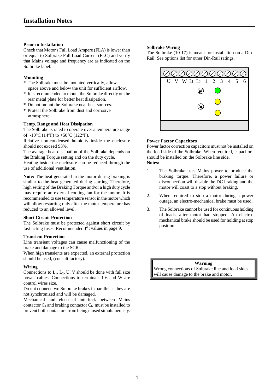## **Prior to Installation**

Check that Motor's Full Load Ampere (FLA) is lower than or equal to Solbrake Full Load Current (FLC) and verify that Mains voltage and frequency are as indicated on the Solbrake label.

# **Mounting**

- \* The Solbrake must be mounted vertically, allow space above and below the unit for sufficient airflow.
- \* It is recommended to mount the Solbrake directly on the rear metal plate for better heat dissipation.
- **\*** Do not mount the Solbrake near heat sources.
- **\*** Protect the Solbrake from dust and corrosive atmosphere.

#### **Temp. Range and Heat Dissipation**

The Solbrake is rated to operate over a temperature range of  $-10^{\circ}$ C (14 $^{\circ}$ F) to  $+50^{\circ}$ C (122 $^{\circ}$ F).

Relative non-condensed humidity inside the enclosure should not exceed 93%.

The average heat dissipation of the Solbrake depends on the Braking Torque setting and on the duty cycle.

Heating inside the enclosure can be reduced through the use of additional ventilation.

**Note:** The heat generated in the motor during braking is similar to the heat generated during starting. Therefore, high setting of the Braking Torque and/or a high duty cycle may require an external cooling fan for the motor. It is recommended to use temperature sensor in the motor which will allow restarting only after the motor temperature has reduced to an allowed level.

#### **Short Circuit Protection**

The Solbrake must be protected against short circuit by fast-acting fuses. Recommended  $I^2$ t values in page 9.

# **Transient Protection**

Line transient voltages can cause malfunctioning of the brake and damage to the SCRs.

When high transients are expected, an external protection should be used, (consult factory).

#### **Wiring**

Connections to  $L_1$ ,  $L_2$ , U, V should be done with full size power cables. Connections to terminals 1-6 and W are control wires size.

Do not connect two Solbrake brakes in parallel as they are not synchronized and will be damaged.

Mechanical and electrical interlock between Mains contactor  $C_1$  and braking contactor  $C_{\text{br}}$  must be installed to prevent both contactors from being closed simultaneously.

# **Solbrake Wiring**

The Solbrake (10-17) is meant for installation on a Din-Rail. See options list for other Din-Rail ratings.



## **Power Factor Capacitors**

Power factor correction capacitors must not be installed on the load side of the Solbrake. When required, capacitors should be installed on the Solbrake line side.

**Notes:**

- 1. The Solbrake uses Mains power to produce the braking torque. Therefore, a power failure or disconnection will disable the DC braking and the motor will coast to a stop without braking.
- 2. When required to stop a motor during a power outage, an electro-mechanical brake must be used.
- 3. The Solbrake cannot be used for continuous holding of loads, after motor had stopped. An electromechanical brake should be used for holding at stop position.

**Warning** Wrong connections of Solbrake line and load sides will cause damage to the brake and motor.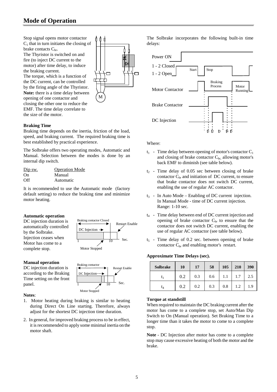# **Mode of Operation**

Stop signal opens motor contactor  $C_1$  that in turn initiates the closing of brake contacts  $C_{\text{br}}$ .

The Thyristor is switched on and fire (to inject DC current to the motor) after time delay, to induce the braking current.

The torque, which is a function of the DC current, can be controlled by the firing angle of the Thyristor. **Note:** there is a time delay between opening of one contactor and closing the other one to reduce the EMF. The time delay correlate to the size of the motor.

#### **Braking Time**

Braking time depends on the inertia, friction of the load, speed, and braking current. The required braking time is best established by practical experience.

The Solbrake offers two operating modes, Automatic and Manual. Selection between the modes is done by an internal dip switch.

| Dip sw. | <b>Operation Mode</b> |
|---------|-----------------------|
| On.     | Manual                |
| Off     | Automatic             |

It is recommended to use the Automatic mode (factory default setting) to reduce the braking time and minimize motor heating.

#### **Automatic operation**

DC injection duration is automatically controlled by the Solbrake. Injection ceases when Motor has come to a complete stop.

#### **Manual operation**

DC injection duration is according to the Braking Time setting on the front panel.



 $\overline{1}$   $\overline{3}$  10 Sec.

M

Restart Enable

DC Injection

Motor Stopped

Braking contactor Closed

#### **Notes**:

- 1. Motor heating during braking is similar to heating during Direct On Line starting. Therefore, always adjust for the shortest DC injection time duration.
- 2. In general, for improved braking process to be in effect, it is recommended to apply some minimal inertia on the motor shaft.

The Solbrake incorporates the following built-in time delays:



Where:

- $t_1$  Time delay between opening of motor's contactor  $C_1$ and closing of brake contactor  $C_{\text{br}}$  allowing motor's back EMF to diminish (see table below).
- $t<sub>2</sub>$  Time delay of 0.05 sec between closing of brake contactor  $C_{\text{br}}$  and initiation of DC current, to ensure that brake contactor does not switch DC current, enabling the use of regular AC contactor.
- $t_3$  In Auto Mode Enabling of DC current injection. In Manual Mode - time of DC current injection. Range: 1-10 sec.
- $t_4$  Time delay between end of DC current injection and opening of brake contactor  $C_{\rm br}$  to ensure that the contactor does not switch DC current, enabling the use of regular AC contactor (see table below).
- $t<sub>5</sub>$  Time delay of 0.2 sec. between opening of brake contactor  $C_{\text{br}}$  and enabling motor's restart.

#### **Approximate Time Delays (sec).**

| <b>Solbrake</b> | 10  | 17  | 58  | 105 | 210 | 390 |
|-----------------|-----|-----|-----|-----|-----|-----|
| U1              | 0.2 | 0.3 | 0.6 | 1.1 | 1.7 | 2.5 |
| t <sub>4</sub>  | 0.2 | 0.2 | 0.3 | 0.8 | 1.2 | 1.9 |

#### **Torque at standstill**

When required to maintain the DC braking current after the motor has come to a complete stop, set Auto/Man Dip Switch to On (Manual operation). Set Braking Time to a longer time than it takes the motor to come to a complete stop.

**Note** - DC Injection after motor has come to a complete stop may cause excessive heating of both the motor and the brake.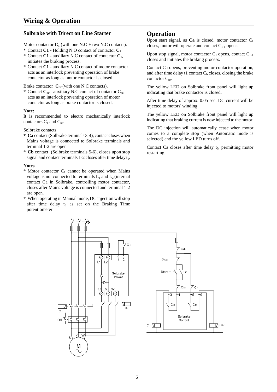# **Solbrake with Direct on Line Starter**

Motor contactor  $C_1$  (with one N.O + two N.C contacts).

- Contact  $C1$  Holding N.O contact of contactor  $C_1$
- \* Contact  $C1$  auxiliary N.C contact of contactor  $C_1$ , initiates the braking process.
- \* Contact **C1** auxiliary N.C contact of motor contactor acts as an interlock preventing operation of brake contactor as long as motor contactor is closed.

Brake contactor  $C_{\text{br}}$  (with one N.C contacts).

\* Contact C<sub>br</sub> - auxiliary N.C contact of contactor C<sub>br</sub>, acts as an interlock preventing operation of motor contactor as long as brake contactor is closed.

## **Note:**

It is recommended to electro mechanically interlock contactors  $C_1$  and  $C_{\text{br}}$ .

#### Solbrake contacts

- **\* Ca** contact (Solbrake terminals 3-4), contact closes when Mains voltage is connected to Solbrake terminals and terminal 1-2 are open.
- \* **Cb** contact (Solbrake terminals 5-6), closes upon stop signal and contact terminals  $1-2$  closes after time delay  $t_1$ .

#### **Notes**

- \* Motor contactor  $C_1$  cannot be operated when Mains voltage is not connected to terminals  $L_1$  and  $L_2$  (internal contact Ca in Solbrake, controlling motor contactor, closes after Mains voltage is connected and terminal 1-2 are open.
- \* When operating in Manual mode, DC injection will stop after time delay  $t_3$  as set on the Braking Time potentiometer.

# **Operation**

Upon start signal, as  $Ca$  is closed, motor contactor  $C_1$ closes, motor will operate and contact  $C_{1-1}$  opens.

Upon stop signal, motor contactor  $C_1$  opens, contact  $C_{1-1}$ closes and initiates the braking process.

Contact Ca opens, preventing motor contactor operation, and after time delay t1 contact  $C<sub>b</sub>$  closes, closing the brake contactor  $C_{\text{br}}$ .

The yellow LED on Solbrake front panel will light up indicating that brake contactor is closed.

After time delay of approx. 0.05 sec. DC current will be injected to motors' winding.

The yellow LED on Solbrake front panel will light up indicating that braking current is now injected to the motor.

The DC injection will automatically cease when motor comes to a complete stop (when Automatic mode is selected) and the yellow LED turns off.

Contact Ca closes after time delay  $t_5$ , permitting motor restarting.

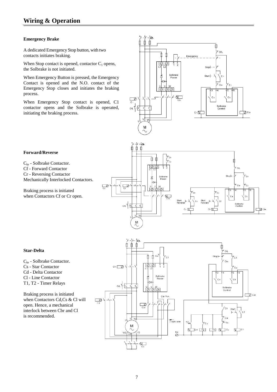# **Emergency Brake**

A dedicated Emergency Stop button, with two contacts initiates braking.

When Stop contact is opened, contactor  $C_1$  opens, the Solbrake is not initiated.

When Emergency Button is pressed, the Emergency Contact is opened and the N.O. contact of the Emergency Stop closes and initiates the braking process.

When Emergency Stop contact is opened, C1 contactor opens and the Solbrake is operated, initiating the braking process.





Cbr - Solbrake Contactor.

- Cf Forward Contactor
- Cr Reversing Contactor

Mechanically Interlocked Contactors.

Braking process is initiated when Contactors Cf or Cr open.



# **Star-Delta**

- Cbr Solbrake Contactor.
- Cs Star Contactor
- Cd Delta Contactor
- Cl Line Contactor
- T1, T2 Timer Relays

Braking process is initiated when Contactors Cd,Cs & Cl will open. Hence, a mechanical interlock between Cbr and Cl is recommended.

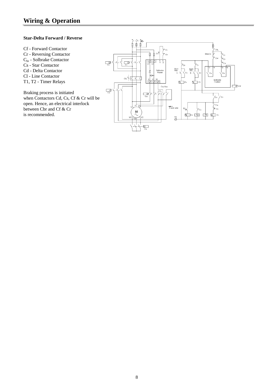#### **Star-Delta Forward / Reverse**

- Cf Forward Contactor
- Cr Reversing Contactor
- $\mathrm{C_{br}}$  Solbrake Contactor
- Cs Star Contactor
- Cd Delta Contactor
- Cl Line Contactor
- T1, T2 Timer Relays

Braking process is initiated when Contactors Cd, Cs, Cf & Cr will be open. Hence, an electrical interlock between Cbr and Cf & Cr is recommended.

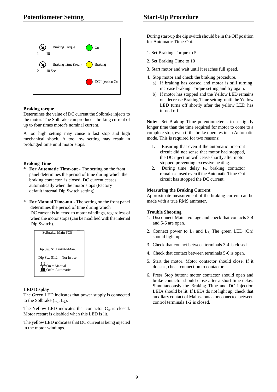

## **Braking torque**

Determines the value of DC current the Solbrake injects to the motor. The Solbrake can produce a braking current of up to four times motor's nominal current.

A too high setting may cause a fast stop and high mechanical shock. A too low setting may result in prolonged time until motor stops.

# **Braking Time**

- **\* For Automatic Time-out** The setting on the front panel determines the period of time during which the braking contactor is closed. DC current ceases automatically when the motor stops (Factory default internal Dip Switch setting) .
- \* **For Manual Time-out** The setting on the front panel determines the period of time during which DC current is injected to motor windings, regardless of when the motor stops (can be modified with the internal Dip Switch).



# **LED Display**

The Green LED indicates that power supply is connected to the Solbrake  $(L_1, L_2)$ .

The Yellow LED indicates that contactor  $C_{\text{br}}$  is closed. Motor restart is disabled when this LED is lit.

The yellow LED indicates that DC current is being injected in the motor windings.

During start-up the dip switch should be in the Off position for Automatic Time-Out.

- 1. Set Braking Torque to 5
- 2. Set Braking Time to 10
- 3. Start motor and wait until it reaches full speed.
- 4. Stop motor and check the braking procedure.
	- a) If braking has ceased and motor is still turning, increase braking Torque setting and try again.
	- b) If motor has stopped and the Yellow LED remains on, decrease Braking Time setting until the Yellow LED turns off shortly after the yellow LED has turned off.

**Note:** Set Braking Time potentiometer  $t_3$  to a slightly longer time than the time required for motor to come to a complete stop, even if the brake operates in an Automatic mode. This is required for two reasons:

- 1. Ensuring that even if the automatic time-out circuit did not sense that motor had stopped, the DC injection will cease shortly after motor stopped preventing excessive heating.
- 2. During time delay  $t_3$ , braking contactor remains closed even if the Automatic Time-Out circuit has stopped the DC current.

# **Measuring the Braking Current**

Approximate measurement of the braking current can be made with a true RMS ammeter.

#### **Trouble Shooting**

- 1. Disconnect Mains voltage and check that contacts 3-4 and 5-6 are open.
- 2. Connect power to  $L_1$  and  $L_2$ . The green LED (On) should light up.
- 3. Check that contact between terminals 3-4 is closed.
- 4. Check that contact between terminals 5-6 is open.
- 5. Start the motor. Motor contactor should close. If it doesn't, check connection to contactor.
- 6. Press Stop button; motor contactor should open and brake contactor should close after a short time delay. Simultaneously the Braking Time and DC injection LEDs should be lit. If LEDs do not light up, check that auxiliary contact of Mains contactor connected between control terminals 1-2 is closed.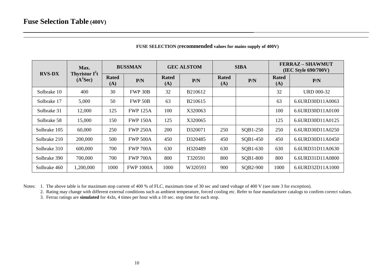| Max.          |                                                | <b>BUSSMAN</b>      |                  | <b>GEC ALSTOM</b>   |         | <b>SIBA</b>         |          | <b>FERRAZ-SHAWMUT</b><br>(IEC Style 690/700V) |                   |
|---------------|------------------------------------------------|---------------------|------------------|---------------------|---------|---------------------|----------|-----------------------------------------------|-------------------|
| <b>RVS-DX</b> | <b>Thyristor I<sup>2</sup>t</b><br>$(A^2$ Sec) | <b>Rated</b><br>(A) | P/N              | <b>Rated</b><br>(A) | P/N     | <b>Rated</b><br>(A) | P/N      | <b>Rated</b><br>(A)                           | P/N               |
| Solbrake 10   | 400                                            | 30                  | FWP 30B          | 32                  | B210612 |                     |          | 32                                            | <b>URD 000-32</b> |
| Solbrake 17   | 5,000                                          | 50                  | FWP 50B          | 63                  | B210615 |                     |          | 63                                            | 6.6URD30D11A0063  |
| Solbrake 31   | 12,000                                         | 125                 | <b>FWP 125A</b>  | 100                 | X320063 |                     |          | 100                                           | 6.6URD30D11A0100  |
| Solbrake 58   | 15,000                                         | 150                 | <b>FWP 150A</b>  | 125                 | X320065 |                     |          | 125                                           | 6.6URD30D11A0125  |
| Solbrake 105  | 60,000                                         | 250                 | <b>FWP 250A</b>  | 200                 | D320071 | 250                 | SQB1-250 | 250                                           | 6.6URD30D11A0250  |
| Solbrake 210  | 200,000                                        | 500                 | <b>FWP 500A</b>  | 450                 | D320485 | 450                 | SQB1-450 | 450                                           | 6.6URD30D11A0450  |
| Solbrake 310  | 600,000                                        | 700                 | <b>FWP 700A</b>  | 630                 | H320489 | 630                 | SQB1-630 | 630                                           | 6.6URD31D11A0630  |
| Solbrake 390  | 700,000                                        | 700                 | <b>FWP 700A</b>  | 800                 | T320591 | 800                 | SQB1-800 | 800                                           | 6.6URD31D11A0800  |
| Solbrake 460  | 1,200,000                                      | 1000                | <b>FWP 1000A</b> | 1000                | W320593 | 900                 | SQB2-900 | 1000                                          | 6.6URD32D11A1000  |

**FUSE SELECTION (recommended values for mains supply of 400V)**

Notes: 1. The above table is for maximum stop current of 400 % of FLC, maximum time of 30 sec and rated voltage of 400 V (see note 3 for exception).

2. Rating may change with different external conditions such as ambient temperature, forced cooling etc. Refer to fuse manufacturer catalogs to confirm correct values.

3. Ferraz ratings are **simulated** for 4xIn, 4 times per hour with a 10 sec. stop time for each stop.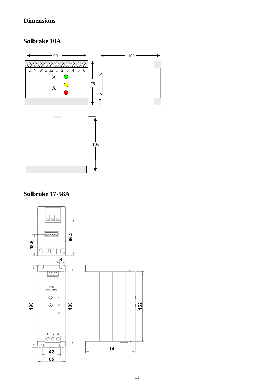# **Solbrake 10A**





# **Solbrake 17-58A**

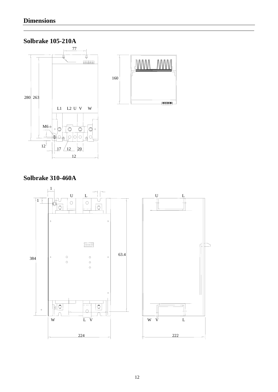# **Solbrake 105-210A**



# **Solbrake 310-460A**

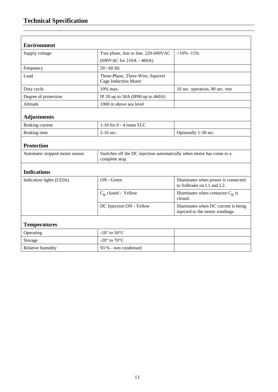| <b>Environment</b>             |                                                                                        |                                                                         |  |  |
|--------------------------------|----------------------------------------------------------------------------------------|-------------------------------------------------------------------------|--|--|
| Supply voltage                 | Two phase, line to line. 220-600VAC                                                    | $+10\% -15\%$                                                           |  |  |
|                                | $(690VAC$ for $210A - 460A)$                                                           |                                                                         |  |  |
| Frequency                      | $50/60$ Hz                                                                             |                                                                         |  |  |
| Load                           | Three-Phase, Three-Wire, Squirrel<br>Cage Induction Motor                              |                                                                         |  |  |
| Duty cycle                     | 10% max.                                                                               | 10 sec. operation, 90 sec. rest                                         |  |  |
| Degree of protection           | IP 20 up to 58A (IP00 up to 460A)                                                      |                                                                         |  |  |
| Altitude                       | 1000 m above sea level                                                                 |                                                                         |  |  |
| <b>Adjustments</b>             |                                                                                        |                                                                         |  |  |
| <b>Braking current</b>         | 1-10 for $0 - 4$ times FLC                                                             |                                                                         |  |  |
| Braking time                   | $2-10$ sec.<br>Optionally 1-30 sec.                                                    |                                                                         |  |  |
| <b>Protection</b>              |                                                                                        |                                                                         |  |  |
| Automatic stopped motor sensor | Switches off the DC injection automatically when motor has come to a<br>complete stop. |                                                                         |  |  |
| <b>Indications</b>             |                                                                                        |                                                                         |  |  |
| Indication lights (LEDs)       | ON - Green                                                                             | Illuminates when power is connected<br>to Solbrake on L1 and L2.        |  |  |
|                                | $C_{\text{br}}$ closed - Yellow                                                        | Illuminates when contactor $C_{\text{br}}$ is<br>closed.                |  |  |
|                                | DC Injection ON - Yellow                                                               | Illuminates when DC current is being<br>injected to the motor windings. |  |  |
| <b>Temperatures</b>            |                                                                                        |                                                                         |  |  |
| Operating                      | -10 $\degree$ to 50 $\degree$ C                                                        |                                                                         |  |  |
| Storage                        | -20 $\degree$ to 70 $\degree$ C                                                        |                                                                         |  |  |
| Relative humidity              | 93 % - non condensed                                                                   |                                                                         |  |  |